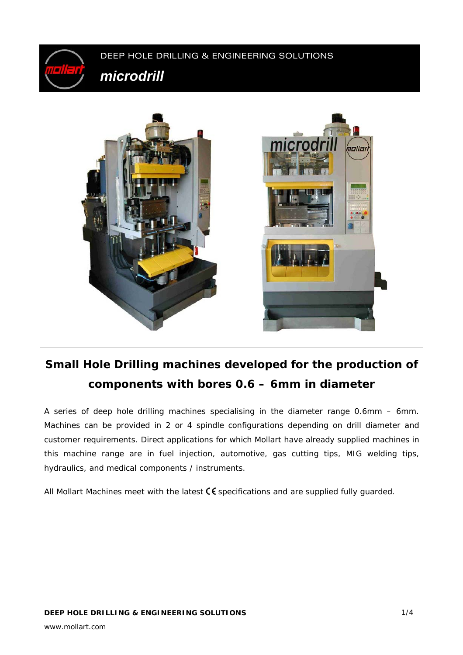

# **Small Hole Drilling machines developed for the production of components with bores 0.6 – 6mm in diameter**

A series of deep hole drilling machines specialising in the diameter range 0.6mm – 6mm. Machines can be provided in 2 or 4 spindle configurations depending on drill diameter and customer requirements. Direct applications for which Mollart have already supplied machines in this machine range are in fuel injection, automotive, gas cutting tips, MIG welding tips, hydraulics, and medical components / instruments.

All Mollart Machines meet with the latest  $\zeta \xi$  specifications and are supplied fully guarded.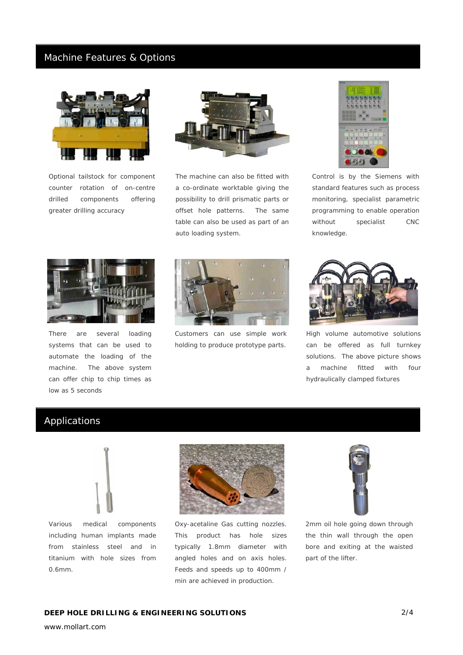#### Machine Features & Options



*Optional tailstock for component counter rotation of on-centre drilled components offering greater drilling accuracy* 



*The machine can also be fitted with a co-ordinate worktable giving the possibility to drill prismatic parts or offset hole patterns. The same table can also be used as part of an auto loading system.* 



*Control is by the Siemens with standard features such as process monitoring, specialist parametric programming to enable operation without specialist CNC knowledge.* 



*There are several loading systems that can be used to automate the loading of the machine. The above system can offer chip to chip times as low as 5 seconds* 



*Customers can use simple work holding to produce prototype parts.* 



*High volume automotive solutions can be offered as full turnkey solutions. The above picture shows a machine fitted with four hydraulically clamped fixtures* 

### Applications



*Various medical components including human implants made from stainless steel and in titanium with hole sizes from 0.6mm.* 



*Oxy-acetaline Gas cutting nozzles. This product has hole sizes typically 1.8mm diameter with angled holes and on axis holes. Feeds and speeds up to 400mm / min are achieved in production.* 



*2mm oil hole going down through the thin wall through the open bore and exiting at the waisted part of the lifter.*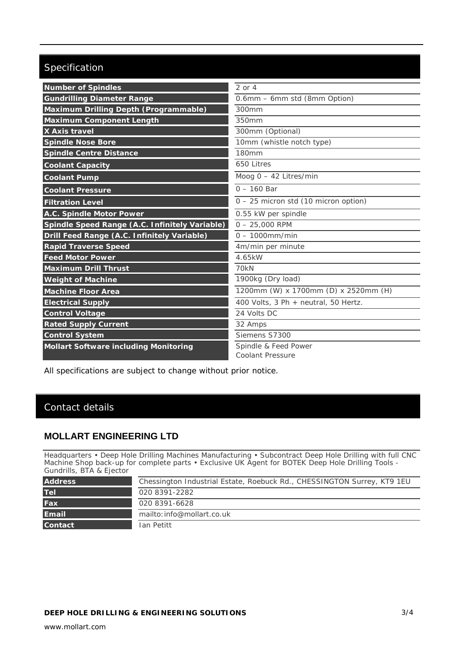## Specification

| <b>Number of Spindles</b>                      | $2$ or $4$                           |
|------------------------------------------------|--------------------------------------|
| <b>Gundrilling Diameter Range</b>              | 0.6mm - 6mm std (8mm Option)         |
| Maximum Drilling Depth (Programmable)          | 300mm                                |
| <b>Maximum Component Length</b>                | 350mm                                |
| X Axis travel                                  | 300mm (Optional)                     |
| <b>Spindle Nose Bore</b>                       | 10mm (whistle notch type)            |
| <b>Spindle Centre Distance</b>                 | 180mm                                |
| <b>Coolant Capacity</b>                        | 650 Litres                           |
| <b>Coolant Pump</b>                            | Moog $0 - 42$ Litres/min             |
| <b>Coolant Pressure</b>                        | $0 - 160$ Bar                        |
| <b>Filtration Level</b>                        | 0 - 25 micron std (10 micron option) |
| <b>A.C. Spindle Motor Power</b>                | 0.55 kW per spindle                  |
| Spindle Speed Range (A.C. Infinitely Variable) | $0 - 25,000$ RPM                     |
| Drill Feed Range (A.C. Infinitely Variable)    | $0 - 1000$ mm/min                    |
| <b>Rapid Traverse Speed</b>                    | 4m/min per minute                    |
| <b>Feed Motor Power</b>                        | 4.65kW                               |
| <b>Maximum Drill Thrust</b>                    | 70 <sub>kN</sub>                     |
| <b>Weight of Machine</b>                       | 1900kg (Dry load)                    |
| <b>Machine Floor Area</b>                      | 1200mm (W) x 1700mm (D) x 2520mm (H) |
| <b>Electrical Supply</b>                       | 400 Volts, 3 Ph + neutral, 50 Hertz. |
| <b>Control Voltage</b>                         | 24 Volts DC                          |
| <b>Rated Supply Current</b>                    | 32 Amps                              |
| <b>Control System</b>                          | Siemens S7300                        |
| <b>Mollart Software including Monitoring</b>   | Spindle & Feed Power                 |
|                                                | Coolant Pressure                     |

All specifications are subject to change without prior notice.

### Contact details

#### **MOLLART ENGINEERING LTD**

Headquarters • Deep Hole Drilling Machines Manufacturing • Subcontract Deep Hole Drilling with full CNC Machine Shop back-up for complete parts • Exclusive UK Agent for BOTEK Deep Hole Drilling Tools - Gundrills, BTA & Ejector

| <b>Address</b> | Chessington Industrial Estate, Roebuck Rd., CHESSINGTON Surrey, KT9 1EU |
|----------------|-------------------------------------------------------------------------|
| <b>Tel</b>     | 020 8391-2282                                                           |
| Fax            | 020 8391-6628                                                           |
| <b>Email</b>   | mailto: info@mollart.co.uk                                              |
| <b>Contact</b> | Ian Petitt                                                              |